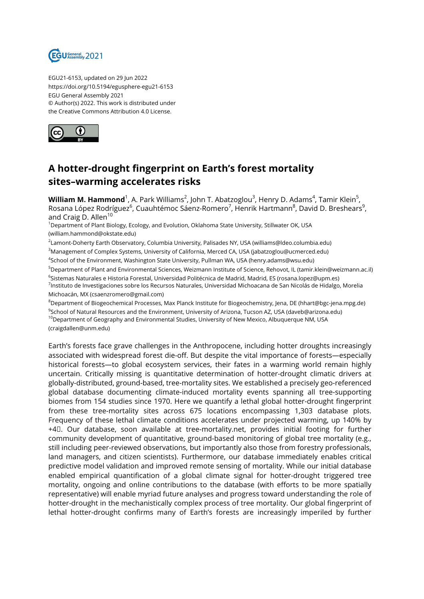

EGU21-6153, updated on 29 Jun 2022 https://doi.org/10.5194/egusphere-egu21-6153 EGU General Assembly 2021 © Author(s) 2022. This work is distributed under the Creative Commons Attribution 4.0 License.



## **A hotter-drought fingerprint on Earth's forest mortality sites–warming accelerates risks**

**William M. Hammond**<sup>1</sup>, A. Park Williams<sup>2</sup>, John T. Abatzoglou<sup>3</sup>, Henry D. Adams<sup>4</sup>, Tamir Klein<sup>5</sup>, Rosana López Rodríguez<sup>6</sup>, Cuauhtémoc Sáenz-Romero<sup>7</sup>, Henrik Hartmann<sup>8</sup>, David D. Breshears<sup>9</sup>, and Craig D. Allen<sup>10</sup>

<sup>1</sup>Department of Plant Biology, Ecology, and Evolution, Oklahoma State University, Stillwater OK, USA (william.hammond@okstate.edu)

2 Lamont-Doherty Earth Observatory, Columbia University, Palisades NY, USA (williams@ldeo.columbia.edu) <sup>3</sup>Management of Complex Systems, University of California, Merced CA, USA (jabatzoglou@ucmerced.edu)

4 School of the Environment, Washington State University, Pullman WA, USA (henry.adams@wsu.edu)

<sup>5</sup>Department of Plant and Environmental Sciences, Weizmann Institute of Science, Rehovot, IL (tamir.klein@weizmann.ac.il) <sup>6</sup>Sistemas Naturales e Historia Forestal, Universidad Politécnica de Madrid, Madrid, ES (rosana.lopez@upm.es) <sup>7</sup>Instituto de Investigaciones sobre los Recursos Naturales, Universidad Michoacana de San Nicolás de Hidalgo, Morelia Michoacán, MX (csaenzromero@gmail.com)

<sup>8</sup>Department of Biogeochemical Processes, Max Planck Institute for Biogeochemistry, Jena, DE (hhart@bgc-jena.mpg.de)

 $^9$ School of Natural Resources and the Environment, University of Arizona, Tucson AZ, USA (daveb@arizona.edu) <sup>10</sup>Department of Geography and Environmental Studies, University of New Mexico, Albuquerque NM, USA

(craigdallen@unm.edu)

Earth's forests face grave challenges in the Anthropocene, including hotter droughts increasingly associated with widespread forest die-off. But despite the vital importance of forests—especially historical forests—to global ecosystem services, their fates in a warming world remain highly uncertain. Critically missing is quantitative determination of hotter-drought climatic drivers at globally-distributed, ground-based, tree-mortality sites. We established a precisely geo-referenced global database documenting climate-induced mortality events spanning all tree-supporting biomes from 154 studies since 1970. Here we quantify a lethal global hotter-drought fingerprint from these tree-mortality sites across 675 locations encompassing 1,303 database plots. Frequency of these lethal climate conditions accelerates under projected warming, up 140% by +4℃. Our database, soon available at tree-mortality.net, provides initial footing for further community development of quantitative, ground-based monitoring of global tree mortality (e.g., still including peer-reviewed observations, but importantly also those from forestry professionals, land managers, and citizen scientists). Furthermore, our database immediately enables critical predictive model validation and improved remote sensing of mortality. While our initial database enabled empirical quantification of a global climate signal for hotter-drought triggered tree mortality, ongoing and online contributions to the database (with efforts to be more spatially representative) will enable myriad future analyses and progress toward understanding the role of hotter-drought in the mechanistically complex process of tree mortality. Our global fingerprint of lethal hotter-drought confirms many of Earth's forests are increasingly imperiled by further